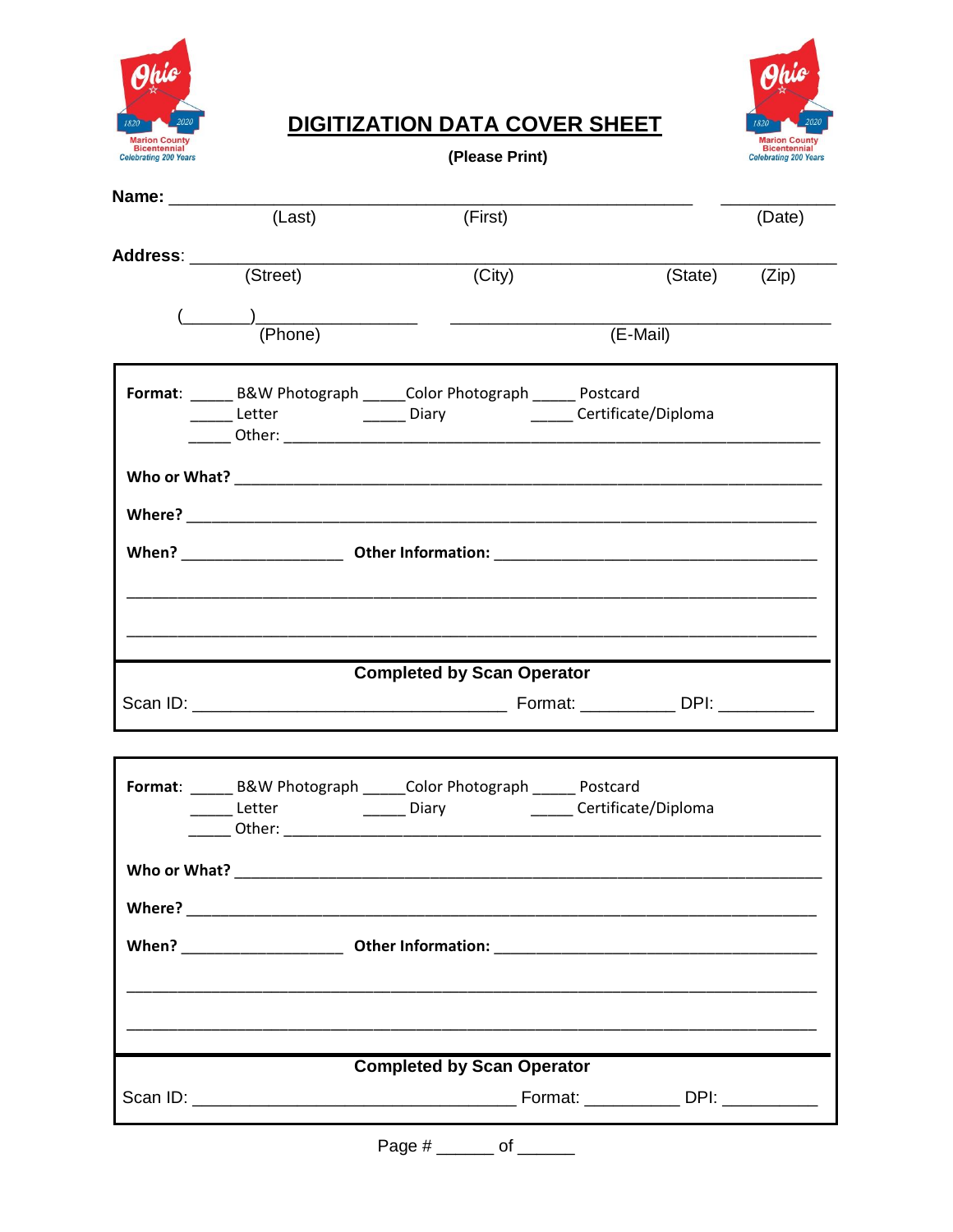

## Phic 1820 Marion County<br>Bicentennial<br>Celebrating 200 Years

## **DIGITIZATION DATA COVER SHEET**

(Please Print)

| (Last)       | (First)                                                               |                                                 | (Date)                                                                                                                                                                                                   |
|--------------|-----------------------------------------------------------------------|-------------------------------------------------|----------------------------------------------------------------------------------------------------------------------------------------------------------------------------------------------------------|
|              |                                                                       |                                                 |                                                                                                                                                                                                          |
|              |                                                                       |                                                 |                                                                                                                                                                                                          |
|              |                                                                       |                                                 |                                                                                                                                                                                                          |
|              |                                                                       |                                                 |                                                                                                                                                                                                          |
|              |                                                                       |                                                 |                                                                                                                                                                                                          |
|              |                                                                       |                                                 |                                                                                                                                                                                                          |
|              |                                                                       |                                                 |                                                                                                                                                                                                          |
|              |                                                                       |                                                 |                                                                                                                                                                                                          |
|              |                                                                       |                                                 |                                                                                                                                                                                                          |
|              |                                                                       |                                                 |                                                                                                                                                                                                          |
|              |                                                                       |                                                 |                                                                                                                                                                                                          |
|              |                                                                       |                                                 |                                                                                                                                                                                                          |
|              |                                                                       |                                                 |                                                                                                                                                                                                          |
|              |                                                                       |                                                 |                                                                                                                                                                                                          |
|              |                                                                       |                                                 |                                                                                                                                                                                                          |
|              |                                                                       |                                                 |                                                                                                                                                                                                          |
|              |                                                                       |                                                 |                                                                                                                                                                                                          |
|              |                                                                       |                                                 |                                                                                                                                                                                                          |
|              |                                                                       |                                                 |                                                                                                                                                                                                          |
|              |                                                                       |                                                 |                                                                                                                                                                                                          |
|              |                                                                       |                                                 |                                                                                                                                                                                                          |
|              | Format: ______ B&W Photograph ______ Color Photograph ______ Postcard |                                                 |                                                                                                                                                                                                          |
|              |                                                                       |                                                 |                                                                                                                                                                                                          |
|              |                                                                       |                                                 |                                                                                                                                                                                                          |
| Who or What? |                                                                       |                                                 |                                                                                                                                                                                                          |
|              |                                                                       |                                                 |                                                                                                                                                                                                          |
|              |                                                                       |                                                 |                                                                                                                                                                                                          |
|              |                                                                       |                                                 |                                                                                                                                                                                                          |
|              |                                                                       |                                                 |                                                                                                                                                                                                          |
|              |                                                                       |                                                 |                                                                                                                                                                                                          |
|              |                                                                       |                                                 |                                                                                                                                                                                                          |
|              | <b>Completed by Scan Operator</b>                                     |                                                 |                                                                                                                                                                                                          |
|              | Address: ______________________<br>(T <sub>1</sub> )                  | (City)<br>$\frac{(\_\_\_\_\_)}{(\text{Phone})}$ | (State) (Zip)<br>(E-Mail)<br>Format: _____ B&W Photograph _____ Color Photograph _____ Postcard<br>______ Letter _____________ Diary __________ Certificate/Diploma<br><b>Completed by Scan Operator</b> |